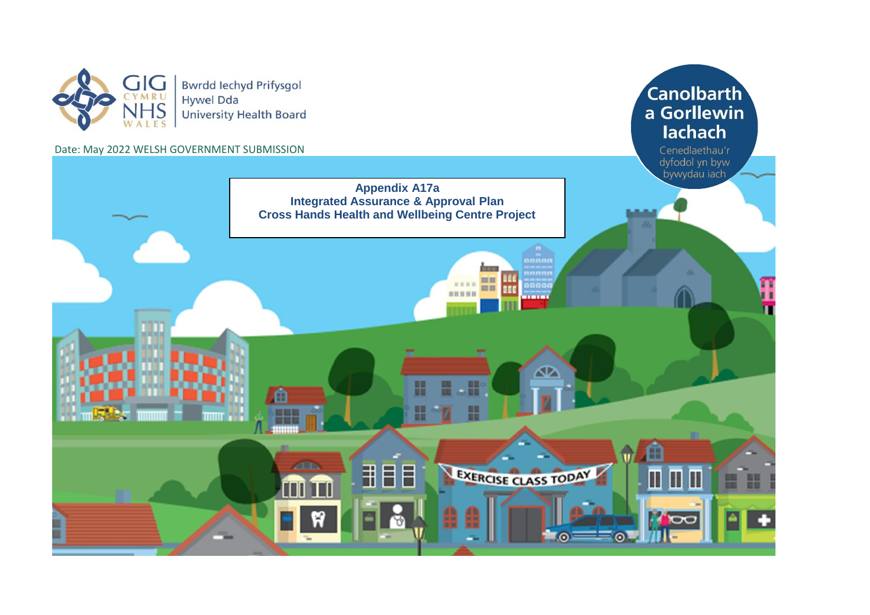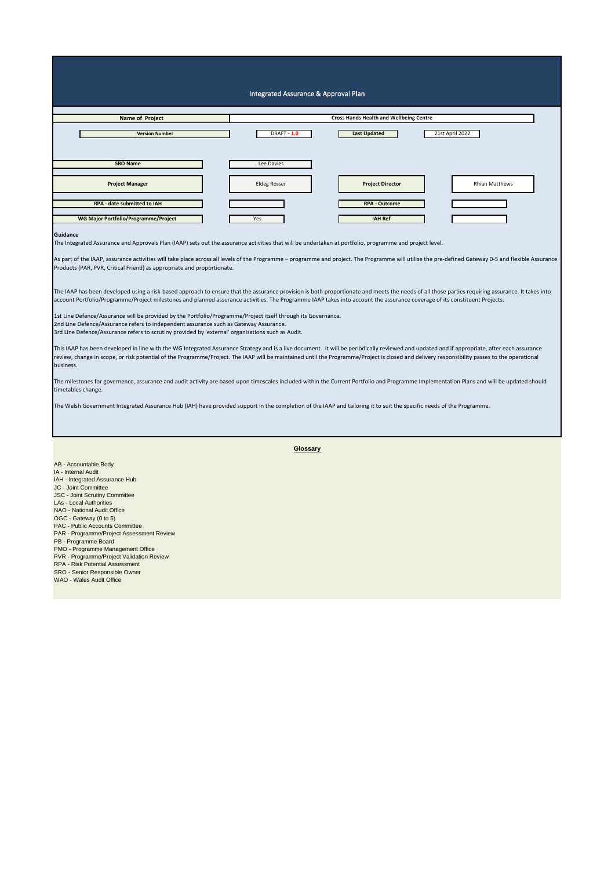| Integrated Assurance & Approval Plan                                                                                                                                                                                                                                                                                                                                                                                                                                                                                           |                                                |                         |                       |  |  |  |  |  |  |  |  |  |  |  |
|--------------------------------------------------------------------------------------------------------------------------------------------------------------------------------------------------------------------------------------------------------------------------------------------------------------------------------------------------------------------------------------------------------------------------------------------------------------------------------------------------------------------------------|------------------------------------------------|-------------------------|-----------------------|--|--|--|--|--|--|--|--|--|--|--|
| Name of Project                                                                                                                                                                                                                                                                                                                                                                                                                                                                                                                | <b>Cross Hands Health and Wellbeing Centre</b> |                         |                       |  |  |  |  |  |  |  |  |  |  |  |
|                                                                                                                                                                                                                                                                                                                                                                                                                                                                                                                                |                                                |                         |                       |  |  |  |  |  |  |  |  |  |  |  |
| <b>Version Number</b>                                                                                                                                                                                                                                                                                                                                                                                                                                                                                                          | <b>DRAFT - 1.0</b>                             | <b>Last Updated</b>     | 21st April 2022       |  |  |  |  |  |  |  |  |  |  |  |
| <b>SRO Name</b>                                                                                                                                                                                                                                                                                                                                                                                                                                                                                                                | Lee Davies                                     |                         |                       |  |  |  |  |  |  |  |  |  |  |  |
| <b>Project Manager</b>                                                                                                                                                                                                                                                                                                                                                                                                                                                                                                         | <b>Eldeg Rosser</b>                            | <b>Project Director</b> | <b>Rhian Matthews</b> |  |  |  |  |  |  |  |  |  |  |  |
| RPA - date submitted to IAH                                                                                                                                                                                                                                                                                                                                                                                                                                                                                                    |                                                | <b>RPA - Outcome</b>    |                       |  |  |  |  |  |  |  |  |  |  |  |
| WG Major Portfolio/Programme/Project                                                                                                                                                                                                                                                                                                                                                                                                                                                                                           | Yes                                            | <b>IAH Ref</b>          |                       |  |  |  |  |  |  |  |  |  |  |  |
| Guidance<br>The Integrated Assurance and Approvals Plan (IAAP) sets out the assurance activities that will be undertaken at portfolio, programme and project level.                                                                                                                                                                                                                                                                                                                                                            |                                                |                         |                       |  |  |  |  |  |  |  |  |  |  |  |
| As part of the IAAP, assurance activities will take place across all levels of the Programme - programme and project. The Programme will utilise the pre-defined Gateway 0-5 and flexible Assurance<br>Products (PAR, PVR, Critical Friend) as appropriate and proportionate.                                                                                                                                                                                                                                                  |                                                |                         |                       |  |  |  |  |  |  |  |  |  |  |  |
| The IAAP has been developed using a risk-based approach to ensure that the assurance provision is both proportionate and meets the needs of all those parties requiring assurance. It takes into<br>account Portfolio/Programme/Project milestones and planned assurance activities. The Programme IAAP takes into account the assurance coverage of its constituent Projects.                                                                                                                                                 |                                                |                         |                       |  |  |  |  |  |  |  |  |  |  |  |
| 1st Line Defence/Assurance will be provided by the Portfolio/Programme/Project itself through its Governance.<br>2nd Line Defence/Assurance refers to independent assurance such as Gateway Assurance.<br>3rd Line Defence/Assurance refers to scrutiny provided by 'external' organisations such as Audit.                                                                                                                                                                                                                    |                                                |                         |                       |  |  |  |  |  |  |  |  |  |  |  |
| This IAAP has been developed in line with the WG Integrated Assurance Strategy and is a live document. It will be periodically reviewed and updated and if appropriate, after each assurance<br>review, change in scope, or risk potential of the Programme/Project. The IAAP will be maintained until the Programme/Project is closed and delivery responsibility passes to the operational<br>business.                                                                                                                      |                                                |                         |                       |  |  |  |  |  |  |  |  |  |  |  |
| The milestones for governence, assurance and audit activity are based upon timescales included within the Current Portfolio and Programme Implementation Plans and will be updated should<br>timetables change.                                                                                                                                                                                                                                                                                                                |                                                |                         |                       |  |  |  |  |  |  |  |  |  |  |  |
| The Welsh Government Integrated Assurance Hub (IAH) have provided support in the completion of the IAAP and tailoring it to suit the specific needs of the Programme.                                                                                                                                                                                                                                                                                                                                                          |                                                |                         |                       |  |  |  |  |  |  |  |  |  |  |  |
|                                                                                                                                                                                                                                                                                                                                                                                                                                                                                                                                | Glossary                                       |                         |                       |  |  |  |  |  |  |  |  |  |  |  |
| AB - Accountable Body<br>IA - Internal Audit<br>IAH - Integrated Assurance Hub<br>JC - Joint Committee<br>JSC - Joint Scrutiny Committee<br><b>LAs - Local Authorities</b><br>NAO - National Audit Office<br>OGC - Gateway (0 to 5)<br>PAC - Public Accounts Committee<br>PAR - Programme/Project Assessment Review<br>PB - Programme Board<br>PMO - Programme Management Office<br>PVR - Programme/Project Validation Review<br>RPA - Risk Potential Assessment<br>SRO - Senior Responsible Owner<br>WAO - Wales Audit Office |                                                |                         |                       |  |  |  |  |  |  |  |  |  |  |  |